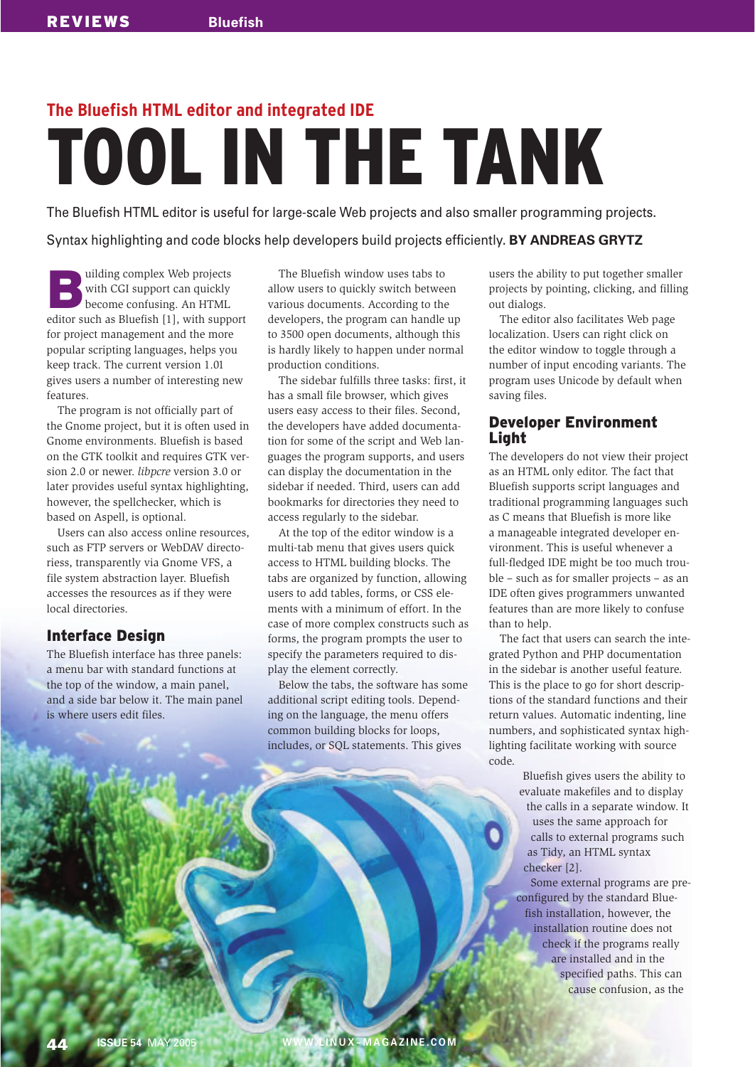# **The Bluefish HTML editor and integrated IDE** TOOL IN THE TANK

The Bluefish HTML editor is useful for large-scale Web projects and also smaller programming projects.

Syntax highlighting and code blocks help developers build projects efficiently. **BY ANDREAS GRYTZ**

uilding complex Web projects<br>with CGI support can quickly<br>become confusing. An HTML<br>editor such as Bluefish [1], with supp with CGI support can quickly become confusing. An HTML editor such as Bluefish [1], with support for project management and the more popular scripting languages, helps you keep track. The current version 1.01 gives users a number of interesting new features.

The program is not officially part of the Gnome project, but it is often used in Gnome environments. Bluefish is based on the GTK toolkit and requires GTK version 2.0 or newer. *libpcre* version 3.0 or later provides useful syntax highlighting, however, the spellchecker, which is based on Aspell, is optional.

Users can also access online resources, such as FTP servers or WebDAV directoriess, transparently via Gnome VFS, a file system abstraction layer. Bluefish accesses the resources as if they were local directories.

### Interface Design

The Bluefish interface has three panels: a menu bar with standard functions at the top of the window, a main panel, and a side bar below it. The main panel is where users edit files.

The Bluefish window uses tabs to allow users to quickly switch between various documents. According to the developers, the program can handle up to 3500 open documents, although this is hardly likely to happen under normal production conditions.

The sidebar fulfills three tasks: first, it has a small file browser, which gives users easy access to their files. Second, the developers have added documentation for some of the script and Web languages the program supports, and users can display the documentation in the sidebar if needed. Third, users can add bookmarks for directories they need to access regularly to the sidebar.

At the top of the editor window is a multi-tab menu that gives users quick access to HTML building blocks. The tabs are organized by function, allowing users to add tables, forms, or CSS elements with a minimum of effort. In the case of more complex constructs such as forms, the program prompts the user to specify the parameters required to display the element correctly.

Below the tabs, the software has some additional script editing tools. Depending on the language, the menu offers common building blocks for loops, includes, or SQL statements. This gives

users the ability to put together smaller projects by pointing, clicking, and filling out dialogs.

The editor also facilitates Web page localization. Users can right click on the editor window to toggle through a number of input encoding variants. The program uses Unicode by default when saving files.

#### Developer Environment Light

The developers do not view their project as an HTML only editor. The fact that Bluefish supports script languages and traditional programming languages such as C means that Bluefish is more like a manageable integrated developer environment. This is useful whenever a full-fledged IDE might be too much trouble – such as for smaller projects – as an IDE often gives programmers unwanted features than are more likely to confuse than to help.

The fact that users can search the integrated Python and PHP documentation in the sidebar is another useful feature. This is the place to go for short descriptions of the standard functions and their return values. Automatic indenting, line numbers, and sophisticated syntax highlighting facilitate working with source code.

> Bluefish gives users the ability to evaluate makefiles and to display the calls in a separate window. It uses the same approach for calls to external programs such as Tidy, an HTML syntax checker [2].

Some external programs are preconfigured by the standard Bluefish installation, however, the installation routine does not check if the programs really are installed and in the specified paths. This can cause confusion, as the